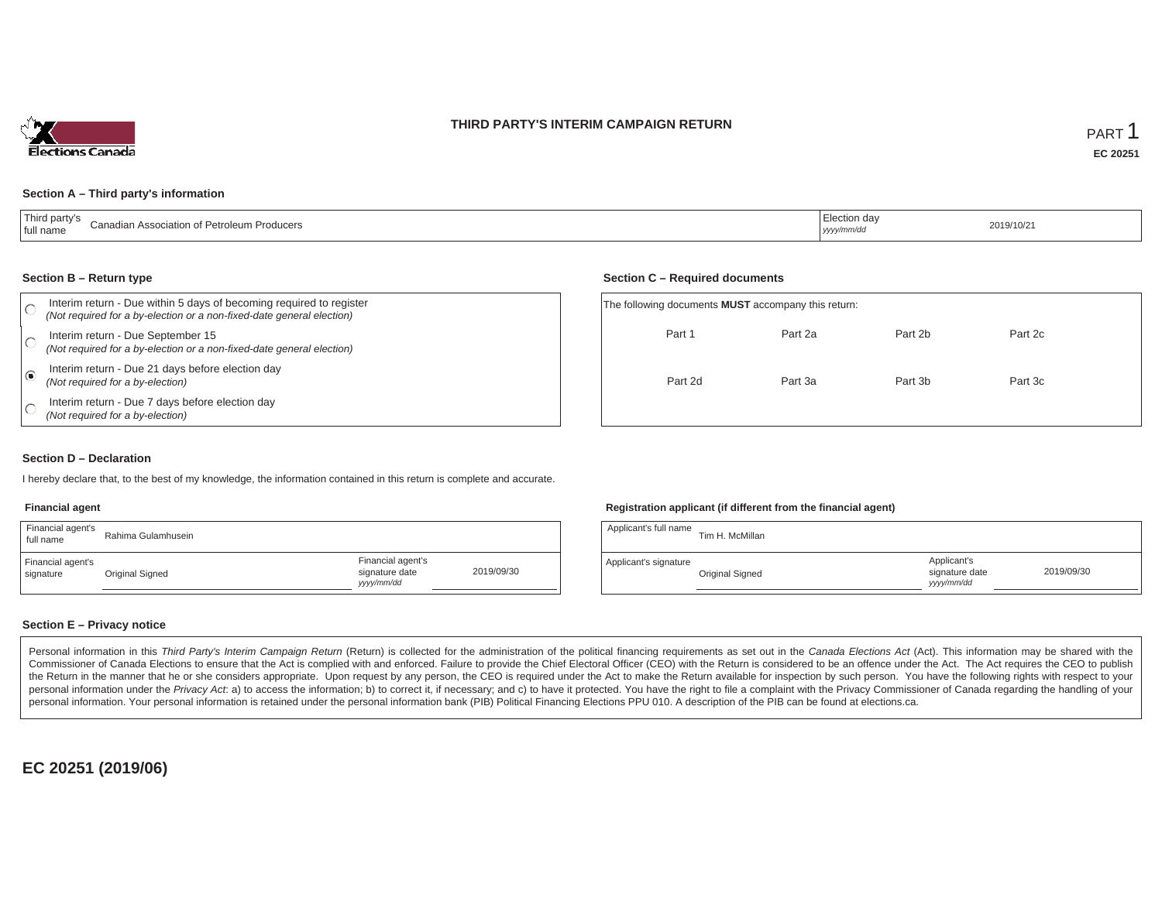### **THIRD PARTY'S INTERIM CAMPAIGN RETURN**



#### **Section A – Third party's information**

| $+T$<br>. hird nartv's<br>Canadian Association of Petroleum Producers<br>full name | .Ju∪n dav<br><sub>l</sub> yyyy/mm/dr | 2019/10/21<br>. |
|------------------------------------------------------------------------------------|--------------------------------------|-----------------|
|------------------------------------------------------------------------------------|--------------------------------------|-----------------|

#### **Section B – Return type**

| Interim return - Due within 5 days of becoming required to register<br>(Not required for a by-election or a non-fixed-date general election) | The following documents <b>MUST</b> accompany this return: |         |         |         |  |
|----------------------------------------------------------------------------------------------------------------------------------------------|------------------------------------------------------------|---------|---------|---------|--|
| Interim return - Due September 15<br>(Not required for a by-election or a non-fixed-date general election)                                   | Part 1                                                     | Part 2a | Part 2b | Part 2c |  |
| Interim return - Due 21 days before election day<br>(Not required for a by-election)                                                         | Part 2d                                                    | Part 3a | Part 3b | Part 3c |  |
| Interim return - Due 7 days before election day<br>(Not required for a by-election)                                                          |                                                            |         |         |         |  |

#### **Section D – Declaration**

I hereby declare that, to the best of my knowledge, the information contained in this return is complete and accurate.

#### **Financial agent**

| Financial agent's<br>full name | Rahima Gulamhusein |                                                  |            |
|--------------------------------|--------------------|--------------------------------------------------|------------|
| Financial agent's<br>signature | Original Signed    | Financial agent's<br>signature date<br>vyy/mm/dd | 2019/09/30 |

#### **Registration applicant (if different from the financial agent)**

**Section C – Required documents**

| Applicant's full name | Tim H. McMillan |                                            |            |
|-----------------------|-----------------|--------------------------------------------|------------|
| Applicant's signature | Original Signed | Applicant's<br>signature date<br>yyy/mm/dd | 2019/09/30 |

#### **Section E – Privacy notice**

Personal information in this Third Party's Interim Campaign Return (Return) is collected for the administration of the political financing requirements as set out in the Canada Elections Act (Act). This information may be Commissioner of Canada Elections to ensure that the Act is complied with and enforced. Failure to provide the Chief Electoral Officer (CEO) with the Return is considered to be an offence under the Act. The Act requires the the Return in the manner that he or she considers appropriate. Upon request by any person, the CEO is required under the Act to make the Return available for inspection by such person. You have the following rights with re personal information under the Privacy Act. a) to access the information; b) to correct it, if necessary; and c) to have it protected. You have the right to file a complaint with the Privacy Commissioner of Canada regardin personal information. Your personal information is retained under the personal information bank (PIB) Political Financing Elections PPU 010. A description of the PIB can be found at elections.ca.

**EC 20251 (2019/06)**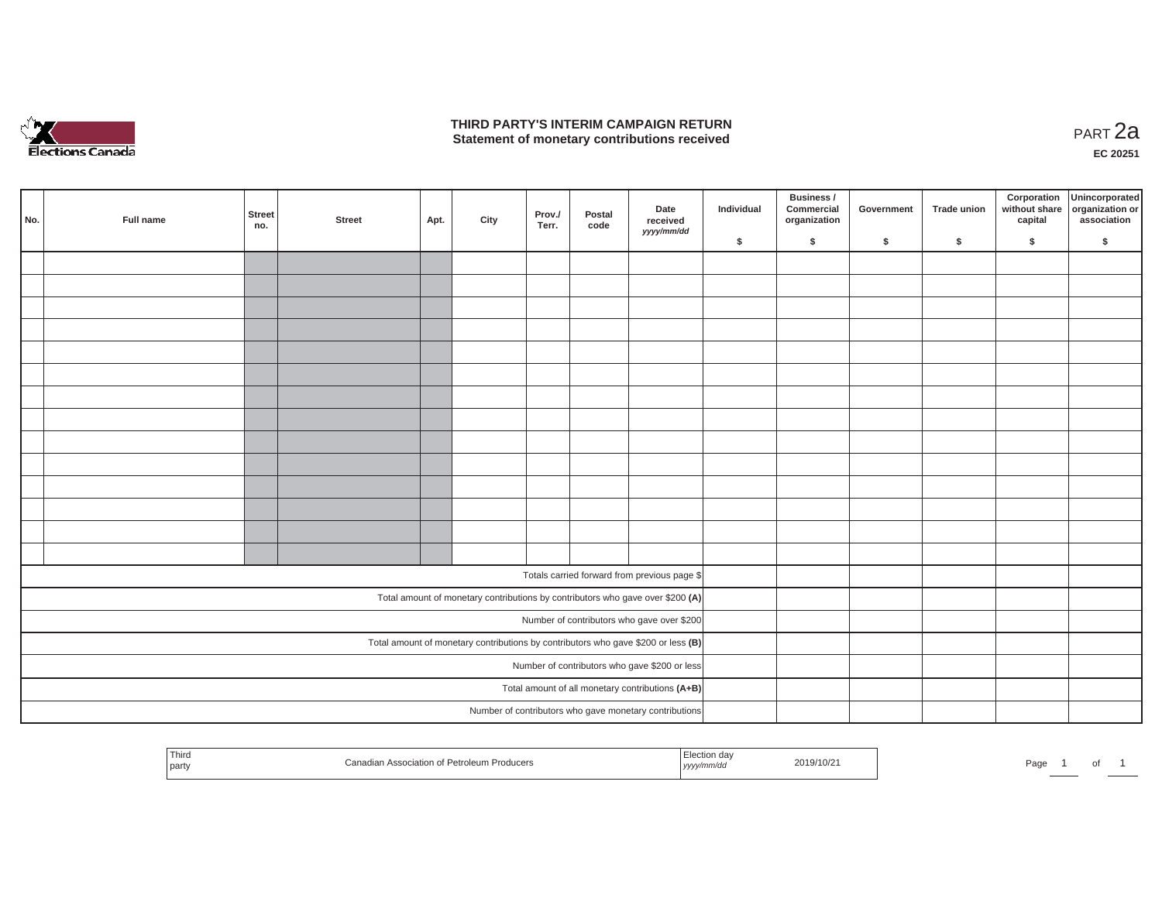

### **THIRD PARTY'S INTERIM CAMPAIGN RETURN THIRD PARTY'S INTERIM CAMPAIGN RETURN<br>Statement of monetary contributions received PART 2a**

| No. | Full name | <b>Street</b><br>no. | <b>Street</b> | Apt. | City | Prov./<br>Terr. | Postal<br>code | Date<br>received<br>yyyy/mm/dd                                                      | Individual | Business /<br>Commercial<br>organization | Government | Trade union | Corporation | Unincorporated<br>without share<br>capital dissociation or<br>association |
|-----|-----------|----------------------|---------------|------|------|-----------------|----------------|-------------------------------------------------------------------------------------|------------|------------------------------------------|------------|-------------|-------------|---------------------------------------------------------------------------|
|     |           |                      |               |      |      |                 |                |                                                                                     | \$         | \$                                       | \$         | $\sqrt{2}$  | \$          | \$                                                                        |
|     |           |                      |               |      |      |                 |                |                                                                                     |            |                                          |            |             |             |                                                                           |
|     |           |                      |               |      |      |                 |                |                                                                                     |            |                                          |            |             |             |                                                                           |
|     |           |                      |               |      |      |                 |                |                                                                                     |            |                                          |            |             |             |                                                                           |
|     |           |                      |               |      |      |                 |                |                                                                                     |            |                                          |            |             |             |                                                                           |
|     |           |                      |               |      |      |                 |                |                                                                                     |            |                                          |            |             |             |                                                                           |
|     |           |                      |               |      |      |                 |                |                                                                                     |            |                                          |            |             |             |                                                                           |
|     |           |                      |               |      |      |                 |                |                                                                                     |            |                                          |            |             |             |                                                                           |
|     |           |                      |               |      |      |                 |                |                                                                                     |            |                                          |            |             |             |                                                                           |
|     |           |                      |               |      |      |                 |                |                                                                                     |            |                                          |            |             |             |                                                                           |
|     |           |                      |               |      |      |                 |                |                                                                                     |            |                                          |            |             |             |                                                                           |
|     |           |                      |               |      |      |                 |                |                                                                                     |            |                                          |            |             |             |                                                                           |
|     |           |                      |               |      |      |                 |                |                                                                                     |            |                                          |            |             |             |                                                                           |
|     |           |                      |               |      |      |                 |                |                                                                                     |            |                                          |            |             |             |                                                                           |
|     |           |                      |               |      |      |                 |                |                                                                                     |            |                                          |            |             |             |                                                                           |
|     |           |                      |               |      |      |                 |                | Totals carried forward from previous page \$                                        |            |                                          |            |             |             |                                                                           |
|     |           |                      |               |      |      |                 |                | Total amount of monetary contributions by contributors who gave over \$200 (A)      |            |                                          |            |             |             |                                                                           |
|     |           |                      |               |      |      |                 |                | Number of contributors who gave over \$200                                          |            |                                          |            |             |             |                                                                           |
|     |           |                      |               |      |      |                 |                | Total amount of monetary contributions by contributors who gave \$200 or less $(B)$ |            |                                          |            |             |             |                                                                           |
|     |           |                      |               |      |      |                 |                | Number of contributors who gave \$200 or less                                       |            |                                          |            |             |             |                                                                           |
|     |           |                      |               |      |      |                 |                | Total amount of all monetary contributions (A+B)                                    |            |                                          |            |             |             |                                                                           |
|     |           |                      |               |      |      |                 |                | Number of contributors who gave monetary contributions                              |            |                                          |            |             |             |                                                                           |

| $\overline{\phantom{a}}$<br>Third<br>I party | ecociation of Patrolaum<br>m Producers | 2019/10/2<br>m/aa<br>, <i>yyyyır</i> | Page<br>וש |
|----------------------------------------------|----------------------------------------|--------------------------------------|------------|
|----------------------------------------------|----------------------------------------|--------------------------------------|------------|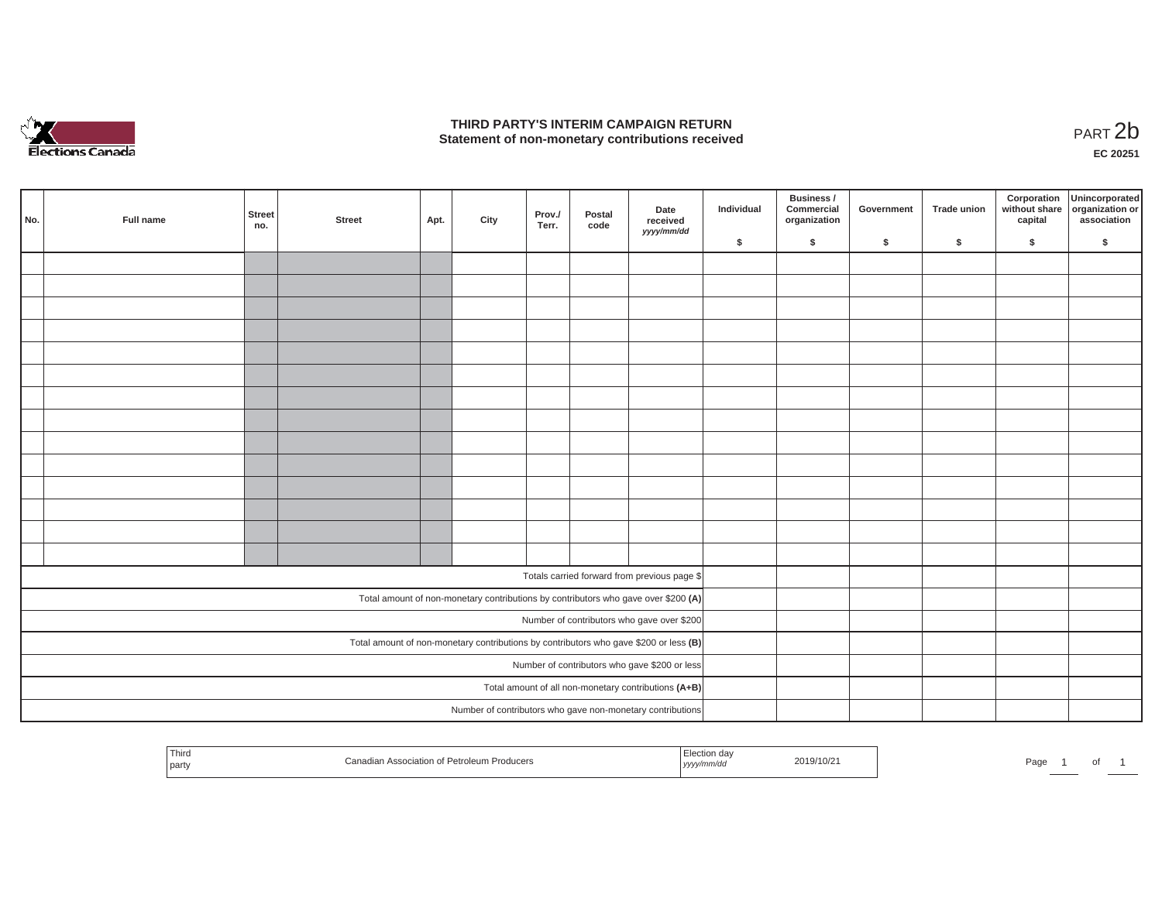

## **THIRD PARTY'S INTERIM CAMPAIGN RETURN**  THIRD PARTY'S INTERIM CAMPAIGN RETURN<br>Statement of non-monetary contributions received<br>**PART 2**b

**EC 20251**

| No. | Full name | Street<br>no. | <b>Street</b> | Apt. | City | Prov./<br>Terr. | Postal<br>code | Date<br>received                                                                      | Individual | Business /<br>Commercial<br>organization | Government | <b>Trade union</b> | Corporation<br>capital | Unincorporated<br>without share organization or<br>association |
|-----|-----------|---------------|---------------|------|------|-----------------|----------------|---------------------------------------------------------------------------------------|------------|------------------------------------------|------------|--------------------|------------------------|----------------------------------------------------------------|
|     |           |               |               |      |      |                 |                | yyyy/mm/dd                                                                            | \$         | \$                                       | \$         | \$                 | \$                     | \$                                                             |
|     |           |               |               |      |      |                 |                |                                                                                       |            |                                          |            |                    |                        |                                                                |
|     |           |               |               |      |      |                 |                |                                                                                       |            |                                          |            |                    |                        |                                                                |
|     |           |               |               |      |      |                 |                |                                                                                       |            |                                          |            |                    |                        |                                                                |
|     |           |               |               |      |      |                 |                |                                                                                       |            |                                          |            |                    |                        |                                                                |
|     |           |               |               |      |      |                 |                |                                                                                       |            |                                          |            |                    |                        |                                                                |
|     |           |               |               |      |      |                 |                |                                                                                       |            |                                          |            |                    |                        |                                                                |
|     |           |               |               |      |      |                 |                |                                                                                       |            |                                          |            |                    |                        |                                                                |
|     |           |               |               |      |      |                 |                |                                                                                       |            |                                          |            |                    |                        |                                                                |
|     |           |               |               |      |      |                 |                |                                                                                       |            |                                          |            |                    |                        |                                                                |
|     |           |               |               |      |      |                 |                |                                                                                       |            |                                          |            |                    |                        |                                                                |
|     |           |               |               |      |      |                 |                |                                                                                       |            |                                          |            |                    |                        |                                                                |
|     |           |               |               |      |      |                 |                |                                                                                       |            |                                          |            |                    |                        |                                                                |
|     |           |               |               |      |      |                 |                |                                                                                       |            |                                          |            |                    |                        |                                                                |
|     |           |               |               |      |      |                 |                |                                                                                       |            |                                          |            |                    |                        |                                                                |
|     |           |               |               |      |      |                 |                | Totals carried forward from previous page \$                                          |            |                                          |            |                    |                        |                                                                |
|     |           |               |               |      |      |                 |                | Total amount of non-monetary contributions by contributors who gave over \$200 (A)    |            |                                          |            |                    |                        |                                                                |
|     |           |               |               |      |      |                 |                | Number of contributors who gave over \$200                                            |            |                                          |            |                    |                        |                                                                |
|     |           |               |               |      |      |                 |                | Total amount of non-monetary contributions by contributors who gave \$200 or less (B) |            |                                          |            |                    |                        |                                                                |
|     |           |               |               |      |      |                 |                | Number of contributors who gave \$200 or less                                         |            |                                          |            |                    |                        |                                                                |
|     |           |               |               |      |      |                 |                | Total amount of all non-monetary contributions (A+B)                                  |            |                                          |            |                    |                        |                                                                |
|     |           |               |               |      |      |                 |                | Number of contributors who gave non-monetary contributions                            |            |                                          |            |                    |                        |                                                                |

| $-1$<br>Third<br>n Association of Petroleum Producers<br>party<br>yyyy/mm/aa | 2019/10/21 | Pagu | וש |  |
|------------------------------------------------------------------------------|------------|------|----|--|
|------------------------------------------------------------------------------|------------|------|----|--|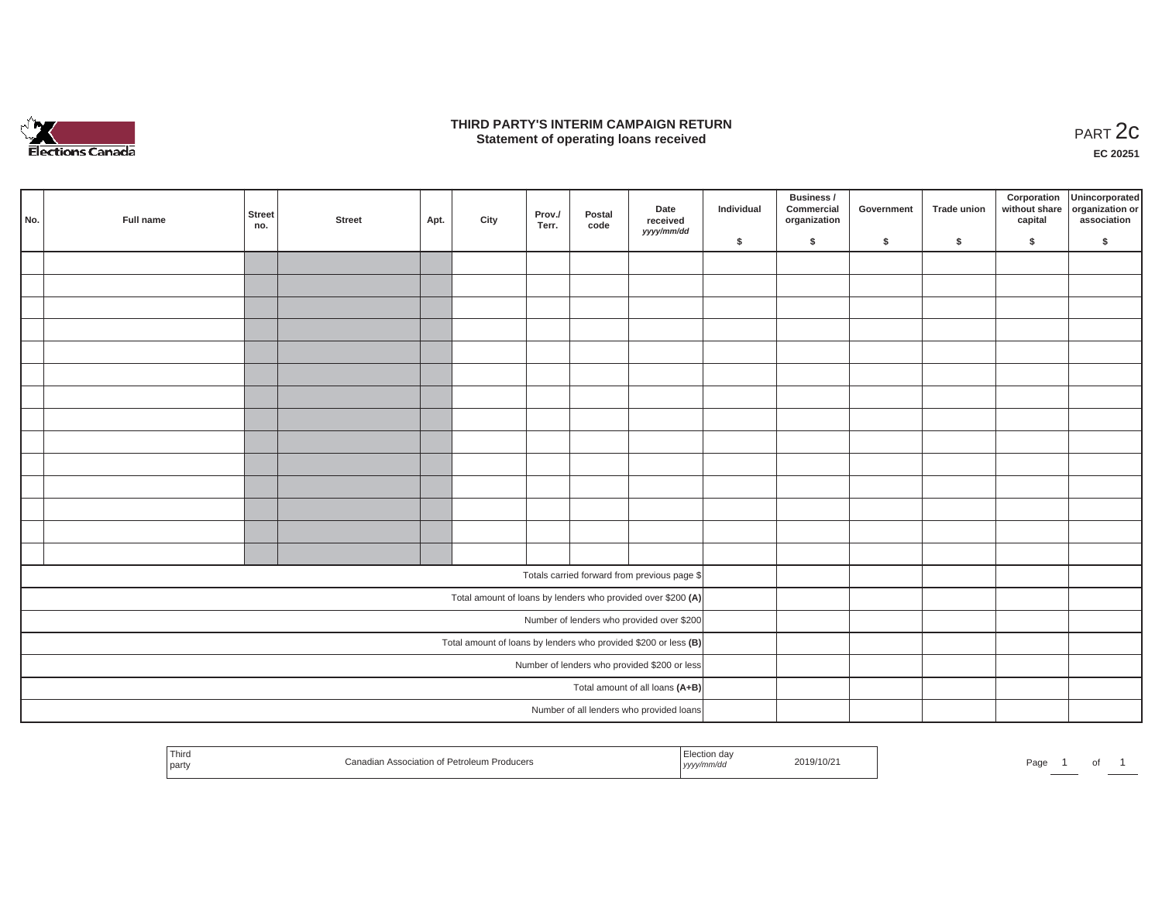

### **THIRD PARTY'S INTERIM CAMPAIGN RETURN**  RD PARTY'S INTERIM CAMPAIGN RETURN<br>Statement of operating loans received **PART 2c**

**EC 20251**

| No. | Full name | Street<br>no. | <b>Street</b> | Apt. | City | Prov./<br>Terr. | Postal<br>code | Date<br>received<br>yyyy/mm/dd                                  | Individual | <b>Business /</b><br>Commercial<br>organization | Government | Trade union | Corporation<br>capital | Unincorporated<br>without share organization or<br>association |
|-----|-----------|---------------|---------------|------|------|-----------------|----------------|-----------------------------------------------------------------|------------|-------------------------------------------------|------------|-------------|------------------------|----------------------------------------------------------------|
|     |           |               |               |      |      |                 |                |                                                                 | \$         | \$                                              | \$         | \$          | \$                     | \$                                                             |
|     |           |               |               |      |      |                 |                |                                                                 |            |                                                 |            |             |                        |                                                                |
|     |           |               |               |      |      |                 |                |                                                                 |            |                                                 |            |             |                        |                                                                |
|     |           |               |               |      |      |                 |                |                                                                 |            |                                                 |            |             |                        |                                                                |
|     |           |               |               |      |      |                 |                |                                                                 |            |                                                 |            |             |                        |                                                                |
|     |           |               |               |      |      |                 |                |                                                                 |            |                                                 |            |             |                        |                                                                |
|     |           |               |               |      |      |                 |                |                                                                 |            |                                                 |            |             |                        |                                                                |
|     |           |               |               |      |      |                 |                |                                                                 |            |                                                 |            |             |                        |                                                                |
|     |           |               |               |      |      |                 |                |                                                                 |            |                                                 |            |             |                        |                                                                |
|     |           |               |               |      |      |                 |                |                                                                 |            |                                                 |            |             |                        |                                                                |
|     |           |               |               |      |      |                 |                |                                                                 |            |                                                 |            |             |                        |                                                                |
|     |           |               |               |      |      |                 |                |                                                                 |            |                                                 |            |             |                        |                                                                |
|     |           |               |               |      |      |                 |                |                                                                 |            |                                                 |            |             |                        |                                                                |
|     |           |               |               |      |      |                 |                |                                                                 |            |                                                 |            |             |                        |                                                                |
|     |           |               |               |      |      |                 |                |                                                                 |            |                                                 |            |             |                        |                                                                |
|     |           |               |               |      |      |                 |                |                                                                 |            |                                                 |            |             |                        |                                                                |
|     |           |               |               |      |      |                 |                | Totals carried forward from previous page \$                    |            |                                                 |            |             |                        |                                                                |
|     |           |               |               |      |      |                 |                | Total amount of loans by lenders who provided over \$200 (A)    |            |                                                 |            |             |                        |                                                                |
|     |           |               |               |      |      |                 |                | Number of lenders who provided over \$200                       |            |                                                 |            |             |                        |                                                                |
|     |           |               |               |      |      |                 |                | Total amount of loans by lenders who provided \$200 or less (B) |            |                                                 |            |             |                        |                                                                |
|     |           |               |               |      |      |                 |                | Number of lenders who provided \$200 or less                    |            |                                                 |            |             |                        |                                                                |
|     |           |               |               |      |      |                 |                | Total amount of all loans (A+B)                                 |            |                                                 |            |             |                        |                                                                |
|     |           |               |               |      |      |                 |                | Number of all lenders who provided loans                        |            |                                                 |            |             |                        |                                                                |
|     |           |               |               |      |      |                 |                |                                                                 |            |                                                 |            |             |                        |                                                                |

| Third<br>part | udian Association of Petroleum Producers | $-$<br>da <sup>'</sup><br>yyyy/mm/dd | 2019/10/21 | Page |  |  |
|---------------|------------------------------------------|--------------------------------------|------------|------|--|--|
|               |                                          |                                      |            |      |  |  |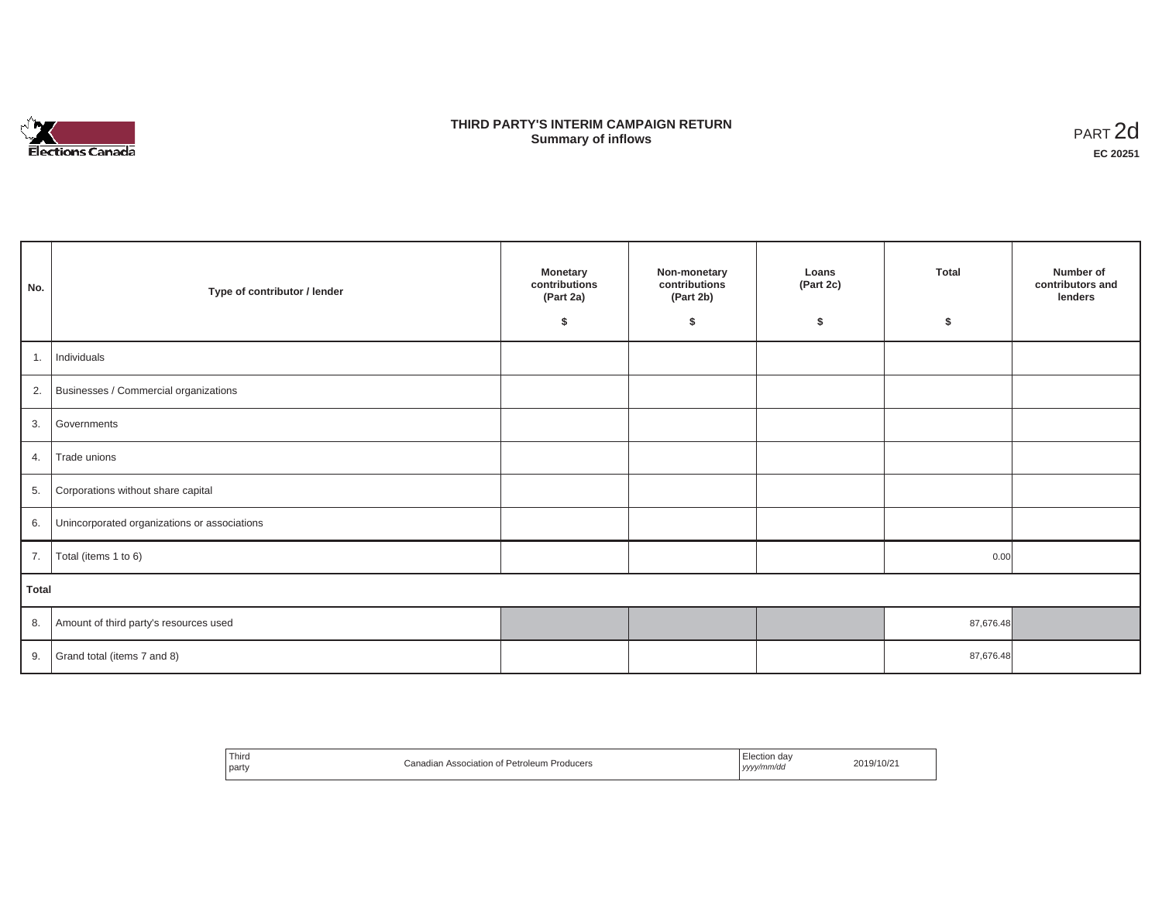

## **THIRD PARTY'S INTERIM CAMPAIGN RETURN SUMMARY STATE SUMMARY OF A SUMMARY OF A SUMMARY OF A SUMMARY OF A SUMMARY OF A SUMMARY OF A SUMMARY OF A SUMMA**<br> **Summary of inflows**

| No.          | Type of contributor / lender                 | <b>Monetary</b><br>contributions<br>(Part 2a)<br>\$ | Non-monetary<br>contributions<br>(Part 2b)<br>s. | Loans<br>(Part 2c)<br>\$ | <b>Total</b><br>\$ | Number of<br>contributors and<br>lenders |
|--------------|----------------------------------------------|-----------------------------------------------------|--------------------------------------------------|--------------------------|--------------------|------------------------------------------|
| 1.           | Individuals                                  |                                                     |                                                  |                          |                    |                                          |
|              | 2. Businesses / Commercial organizations     |                                                     |                                                  |                          |                    |                                          |
| 3.           | Governments                                  |                                                     |                                                  |                          |                    |                                          |
| 4.           | Trade unions                                 |                                                     |                                                  |                          |                    |                                          |
| 5.           | Corporations without share capital           |                                                     |                                                  |                          |                    |                                          |
| 6.           | Unincorporated organizations or associations |                                                     |                                                  |                          |                    |                                          |
| 7.           | Total (items 1 to 6)                         |                                                     |                                                  |                          | 0.00               |                                          |
| <b>Total</b> |                                              |                                                     |                                                  |                          |                    |                                          |
| 8.           | Amount of third party's resources used       |                                                     |                                                  |                          | 87,676.48          |                                          |
| 9.           | Grand total (items 7 and 8)                  |                                                     |                                                  |                          | 87,676.48          |                                          |

| <sup>'</sup> Third<br>LAssociation of Petroleum F<br>Producers ו<br>Canadian<br>the contract of the contract of<br>party | ⊟ection dav<br>2019/10/21<br>ww/mm/do<br>. |
|--------------------------------------------------------------------------------------------------------------------------|--------------------------------------------|
|--------------------------------------------------------------------------------------------------------------------------|--------------------------------------------|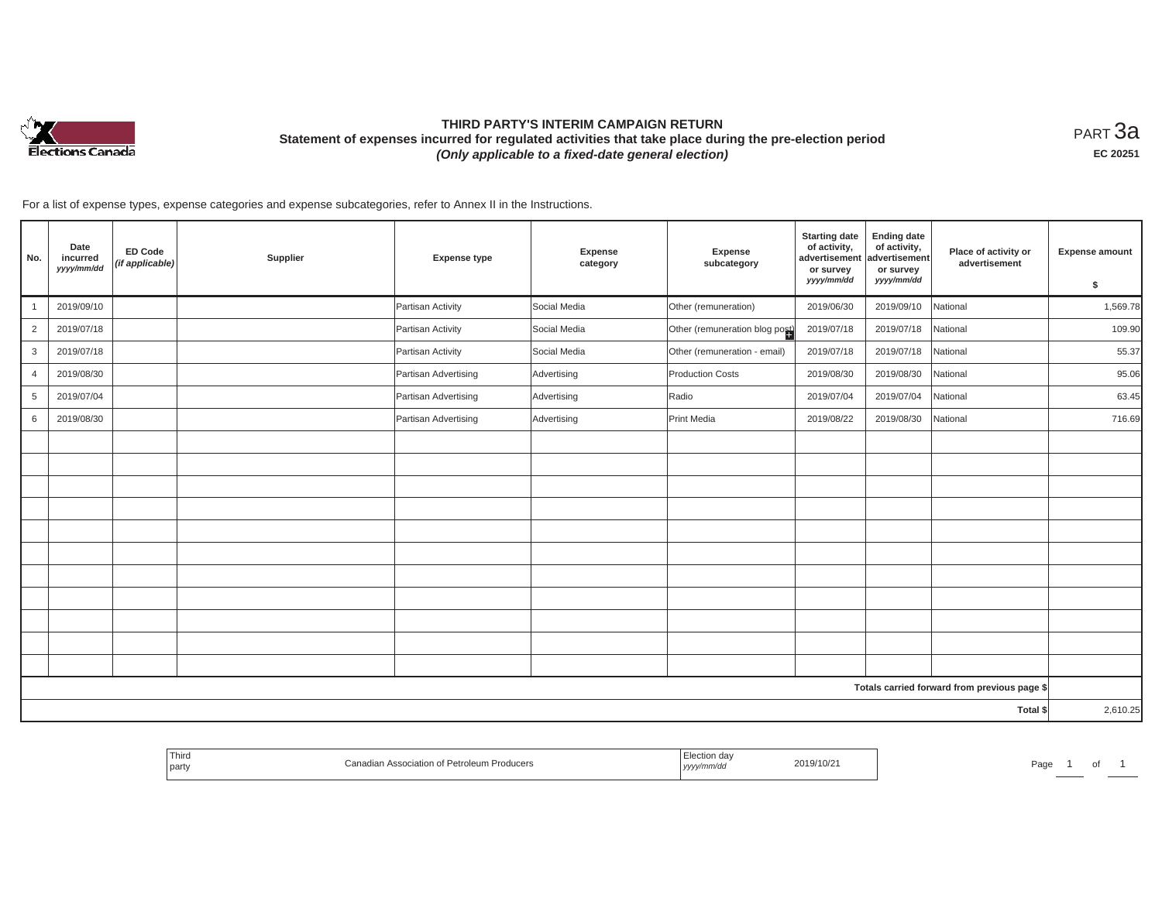

# **THIRD PARTY'S INTERIM CAMPAIGN RETURN Statement of expenses incurred for regulated activities that take place during the pre-election period**  *(Only applicable to a fixed-date general election)*

<code>PART $3$ a</code> **EC 20251**

For a list of expense types, expense categories and expense subcategories, refer to Annex II in the Instructions.

| No.            | Date<br>incurred<br>yyyy/mm/dd | <b>ED Code</b><br>(if applicable) | Supplier | <b>Expense type</b>  | Expense<br>category | Expense<br>subcategory         | <b>Starting date</b><br>of activity,<br>advertisement<br>or survey<br>yyyy/mm/dd | <b>Ending date</b><br>of activity,<br>advertisement<br>or survey<br>yyyy/mm/dd | Place of activity or<br>advertisement        | <b>Expense amount</b><br>\$ |
|----------------|--------------------------------|-----------------------------------|----------|----------------------|---------------------|--------------------------------|----------------------------------------------------------------------------------|--------------------------------------------------------------------------------|----------------------------------------------|-----------------------------|
| $\mathbf{1}$   | 2019/09/10                     |                                   |          | Partisan Activity    | Social Media        | Other (remuneration)           | 2019/06/30                                                                       | 2019/09/10                                                                     | National                                     | 1,569.78                    |
| $\overline{2}$ | 2019/07/18                     |                                   |          | Partisan Activity    | Social Media        | Other (remuneration blog post) | 2019/07/18                                                                       | 2019/07/18                                                                     | National                                     | 109.90                      |
| 3              | 2019/07/18                     |                                   |          | Partisan Activity    | Social Media        | Other (remuneration - email)   | 2019/07/18                                                                       | 2019/07/18                                                                     | National                                     | 55.37                       |
| $\overline{4}$ | 2019/08/30                     |                                   |          | Partisan Advertising | Advertising         | <b>Production Costs</b>        | 2019/08/30                                                                       | 2019/08/30                                                                     | National                                     | 95.06                       |
| $\overline{5}$ | 2019/07/04                     |                                   |          | Partisan Advertising | Advertising         | Radio                          | 2019/07/04                                                                       | 2019/07/04                                                                     | National                                     | 63.45                       |
| 6              | 2019/08/30                     |                                   |          | Partisan Advertising | Advertising         | Print Media                    | 2019/08/22                                                                       | 2019/08/30                                                                     | National                                     | 716.69                      |
|                |                                |                                   |          |                      |                     |                                |                                                                                  |                                                                                |                                              |                             |
|                |                                |                                   |          |                      |                     |                                |                                                                                  |                                                                                |                                              |                             |
|                |                                |                                   |          |                      |                     |                                |                                                                                  |                                                                                |                                              |                             |
|                |                                |                                   |          |                      |                     |                                |                                                                                  |                                                                                |                                              |                             |
|                |                                |                                   |          |                      |                     |                                |                                                                                  |                                                                                |                                              |                             |
|                |                                |                                   |          |                      |                     |                                |                                                                                  |                                                                                |                                              |                             |
|                |                                |                                   |          |                      |                     |                                |                                                                                  |                                                                                |                                              |                             |
|                |                                |                                   |          |                      |                     |                                |                                                                                  |                                                                                |                                              |                             |
|                |                                |                                   |          |                      |                     |                                |                                                                                  |                                                                                |                                              |                             |
|                |                                |                                   |          |                      |                     |                                |                                                                                  |                                                                                |                                              |                             |
|                |                                |                                   |          |                      |                     |                                |                                                                                  |                                                                                |                                              |                             |
|                |                                |                                   |          |                      |                     |                                |                                                                                  |                                                                                | Totals carried forward from previous page \$ |                             |
|                |                                |                                   |          |                      |                     |                                |                                                                                  |                                                                                | Total \$                                     | 2,610.25                    |

| I hird<br>aa'<br>2019/10/2<br>⊪Producers<br><b>Dotrolou</b><br>Page<br>association of 1<br>party<br>nmrac<br>,,,, |  |  |  |  |
|-------------------------------------------------------------------------------------------------------------------|--|--|--|--|
|-------------------------------------------------------------------------------------------------------------------|--|--|--|--|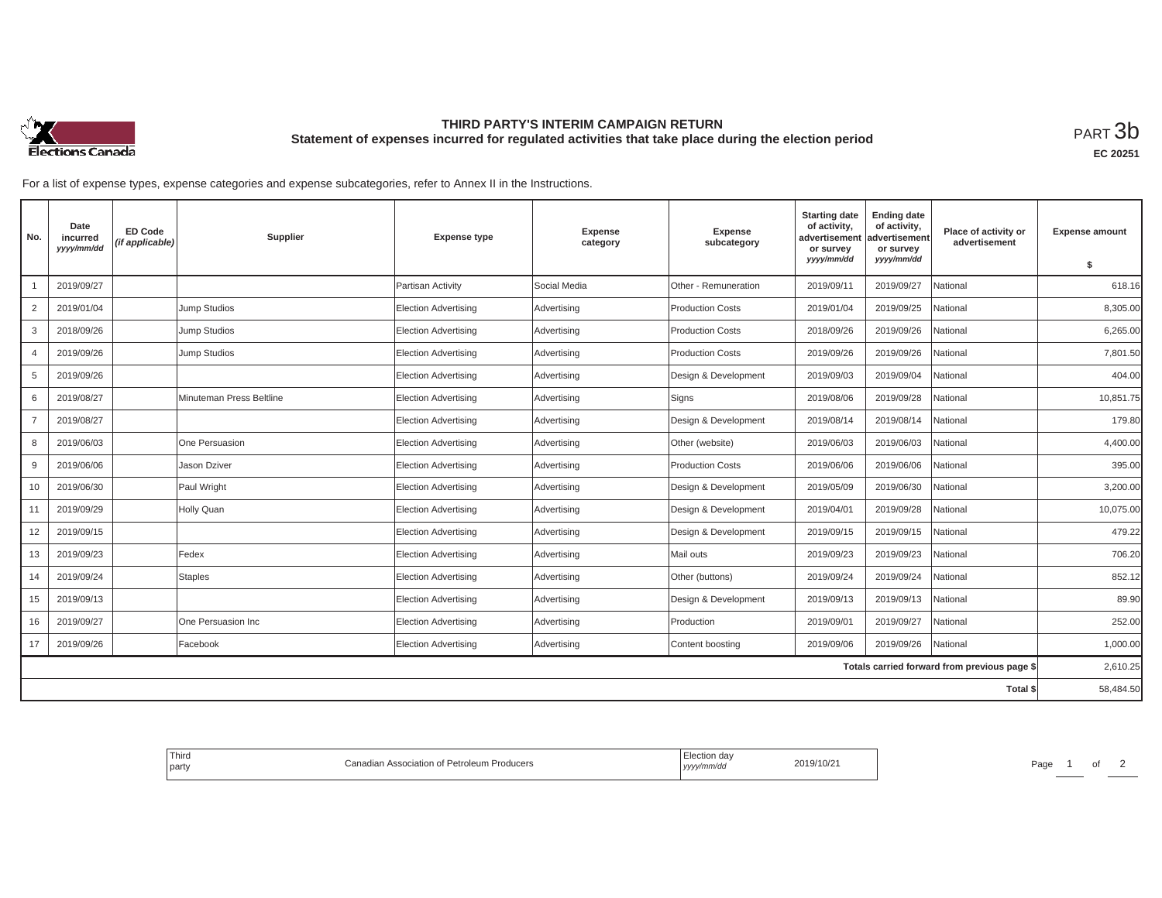

## **THIRD PARTY'S INTERIM CAMPAIGN RETURN Statement of expenses incurred for regulated activities that take place during the election period**<br>РАRТ  $3\mathrm{b}$

For a list of expense types, expense categories and expense subcategories, refer to Annex II in the Instructions.

| No.            | Date<br>incurred<br>yyyy/mm/dd | <b>ED Code</b><br>(if applicable) | Supplier                 | <b>Expense type</b>         | <b>Expense</b><br>category | <b>Expense</b><br>subcategory | <b>Starting date</b><br>of activity,<br>advertisement<br>or survey | <b>Ending date</b><br>of activity,<br>advertisement<br>or survey | Place of activity or<br>advertisement        | <b>Expense amount</b> |
|----------------|--------------------------------|-----------------------------------|--------------------------|-----------------------------|----------------------------|-------------------------------|--------------------------------------------------------------------|------------------------------------------------------------------|----------------------------------------------|-----------------------|
|                |                                |                                   |                          |                             |                            |                               | yyyy/mm/dd                                                         | yyyy/mm/dd                                                       |                                              | \$                    |
|                | 2019/09/27                     |                                   |                          | Partisan Activity           | Social Media               | Other - Remuneration          | 2019/09/11                                                         | 2019/09/27                                                       | National                                     | 618.16                |
| 2              | 2019/01/04                     |                                   | Jump Studios             | Election Advertising        | Advertising                | <b>Production Costs</b>       | 2019/01/04                                                         | 2019/09/25                                                       | National                                     | 8,305.00              |
| 3              | 2018/09/26                     |                                   | Jump Studios             | <b>Election Advertising</b> | Advertising                | <b>Production Costs</b>       | 2018/09/26                                                         | 2019/09/26                                                       | National                                     | 6,265.00              |
| $\overline{4}$ | 2019/09/26                     |                                   | Jump Studios             | <b>Election Advertising</b> | Advertising                | <b>Production Costs</b>       | 2019/09/26                                                         | 2019/09/26                                                       | National                                     | 7.801.50              |
| 5              | 2019/09/26                     |                                   |                          | <b>Election Advertising</b> | Advertising                | Design & Development          | 2019/09/03                                                         | 2019/09/04                                                       | National                                     | 404.00                |
| 6              | 2019/08/27                     |                                   | Minuteman Press Beltline | <b>Election Advertising</b> | Advertising                | Signs                         | 2019/08/06                                                         | 2019/09/28                                                       | National                                     | 10,851.75             |
| $\overline{7}$ | 2019/08/27                     |                                   |                          | <b>Election Advertising</b> | Advertising                | Design & Development          | 2019/08/14                                                         | 2019/08/14                                                       | National                                     | 179.80                |
| 8              | 2019/06/03                     |                                   | One Persuasion           | Election Advertising        | Advertising                | Other (website)               | 2019/06/03                                                         | 2019/06/03                                                       | National                                     | 4,400.00              |
| 9              | 2019/06/06                     |                                   | Jason Dziver             | <b>Election Advertising</b> | Advertising                | <b>Production Costs</b>       | 2019/06/06                                                         | 2019/06/06                                                       | National                                     | 395.00                |
| 10             | 2019/06/30                     |                                   | Paul Wright              | Election Advertising        | Advertising                | Design & Development          | 2019/05/09                                                         | 2019/06/30                                                       | National                                     | 3,200.00              |
| 11             | 2019/09/29                     |                                   | Holly Quan               | Election Advertising        | Advertising                | Design & Development          | 2019/04/01                                                         | 2019/09/28                                                       | National                                     | 10,075.00             |
| 12             | 2019/09/15                     |                                   |                          | <b>Election Advertising</b> | Advertising                | Design & Development          | 2019/09/15                                                         | 2019/09/15                                                       | National                                     | 479.22                |
| 13             | 2019/09/23                     |                                   | Fedex                    | Election Advertising        | Advertising                | Mail outs                     | 2019/09/23                                                         | 2019/09/23                                                       | Vational                                     | 706.20                |
| 14             | 2019/09/24                     |                                   | <b>Staples</b>           | Election Advertising        | Advertising                | Other (buttons)               | 2019/09/24                                                         | 2019/09/24                                                       | National                                     | 852.12                |
| 15             | 2019/09/13                     |                                   |                          | <b>Election Advertising</b> | Advertising                | Design & Development          | 2019/09/13                                                         | 2019/09/13                                                       | National                                     | 89.90                 |
| 16             | 2019/09/27                     |                                   | One Persuasion Inc       | Election Advertising        | Advertising                | Production                    | 2019/09/01                                                         | 2019/09/27                                                       | Vational                                     | 252.00                |
| 17             | 2019/09/26                     |                                   | Facebook                 | Election Advertising        | Advertising                | Content boosting              | 2019/09/06                                                         | 2019/09/26                                                       | National                                     | 1,000.00              |
|                |                                |                                   |                          |                             |                            |                               |                                                                    |                                                                  | Totals carried forward from previous page \$ | 2,610.25              |
|                |                                |                                   |                          |                             |                            |                               |                                                                    |                                                                  | Total \$                                     | 58,484.50             |

| <sup>I</sup> Third<br>Canadian Association of Petroleum Producers<br>  party | rection day.<br>2019/10/21<br>yyyy/mm/dd | Page |
|------------------------------------------------------------------------------|------------------------------------------|------|
|------------------------------------------------------------------------------|------------------------------------------|------|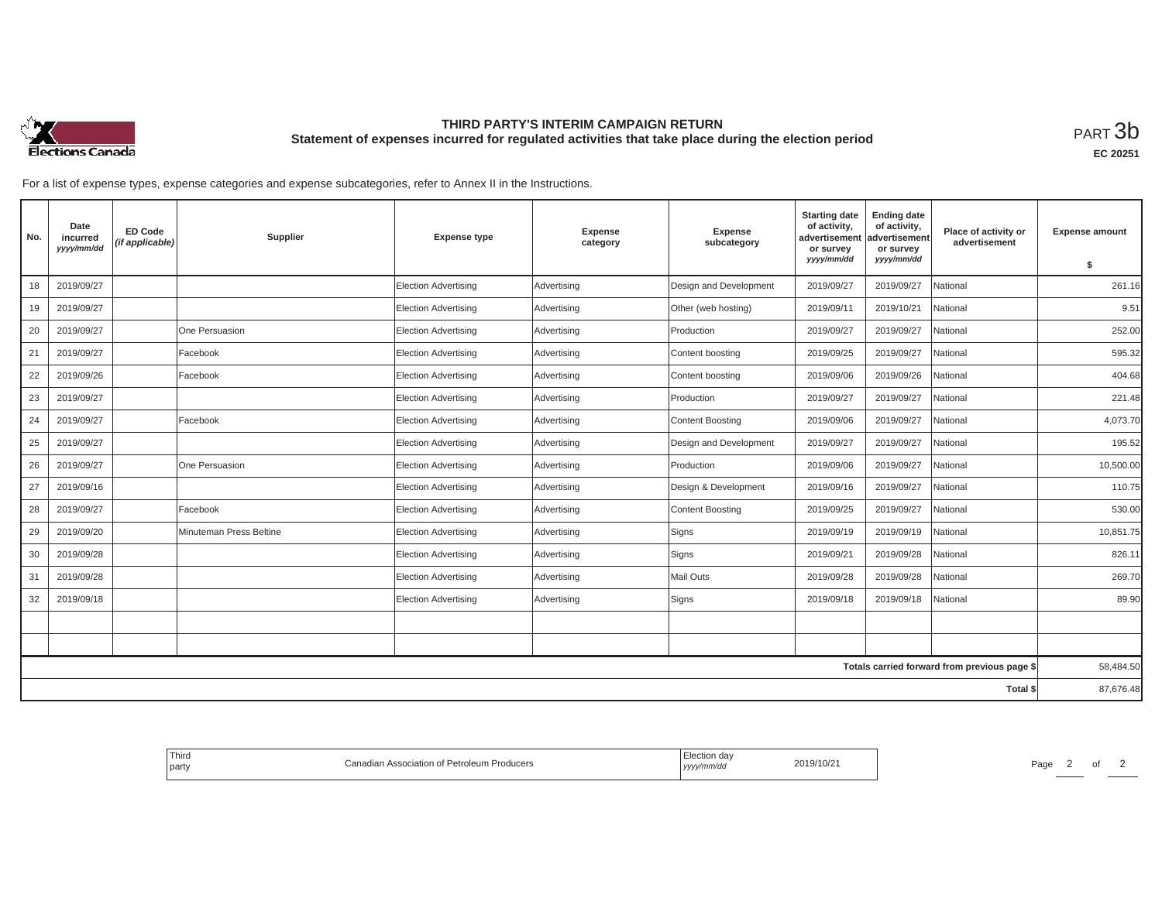

## **THIRD PARTY'S INTERIM CAMPAIGN RETURN Statement of expenses incurred for regulated activities that take place during the election period**<br>РАRТ  $3\mathrm{b}$

**EC 20251**

For a list of expense types, expense categories and expense subcategories, refer to Annex II in the Instructions.

| No. | Date<br>incurred<br>yyyy/mm/dd | <b>ED Code</b><br>(if applicable) | Supplier                | <b>Expense type</b>         | Expense<br>category | <b>Expense</b><br>subcategory | <b>Starting date</b><br>of activity,<br>advertisement<br>or survey<br>yyyy/mm/dd | <b>Ending date</b><br>of activity,<br>advertisement<br>or survey<br>yyyy/mm/dd | Place of activity or<br>advertisement        | <b>Expense amount</b> |
|-----|--------------------------------|-----------------------------------|-------------------------|-----------------------------|---------------------|-------------------------------|----------------------------------------------------------------------------------|--------------------------------------------------------------------------------|----------------------------------------------|-----------------------|
|     |                                |                                   |                         |                             |                     |                               |                                                                                  |                                                                                |                                              | \$                    |
| 18  | 2019/09/27                     |                                   |                         | <b>Election Advertising</b> | Advertising         | Design and Development        | 2019/09/27                                                                       | 2019/09/27                                                                     | National                                     | 261.16                |
| 19  | 2019/09/27                     |                                   |                         | <b>Election Advertising</b> | Advertising         | Other (web hosting)           | 2019/09/11                                                                       | 2019/10/21                                                                     | National                                     | 9.51                  |
| 20  | 2019/09/27                     |                                   | One Persuasion          | <b>Election Advertising</b> | Advertising         | Production                    | 2019/09/27                                                                       | 2019/09/27                                                                     | National                                     | 252.00                |
| 21  | 2019/09/27                     |                                   | Facebook                | <b>Election Advertising</b> | Advertising         | Content boosting              | 2019/09/25                                                                       | 2019/09/27                                                                     | National                                     | 595.32                |
| 22  | 2019/09/26                     |                                   | Facebook                | <b>Election Advertising</b> | Advertising         | Content boosting              | 2019/09/06                                                                       | 2019/09/26                                                                     | National                                     | 404.68                |
| 23  | 2019/09/27                     |                                   |                         | <b>Election Advertising</b> | Advertising         | Production                    | 2019/09/27                                                                       | 2019/09/27                                                                     | National                                     | 221.48                |
| 24  | 2019/09/27                     |                                   | Facebook                | <b>Election Advertising</b> | Advertising         | Content Boosting              | 2019/09/06                                                                       | 2019/09/27                                                                     | National                                     | 4,073.70              |
| 25  | 2019/09/27                     |                                   |                         | <b>Election Advertising</b> | Advertising         | Design and Development        | 2019/09/27                                                                       | 2019/09/27                                                                     | National                                     | 195.52                |
| 26  | 2019/09/27                     |                                   | One Persuasion          | <b>Election Advertising</b> | Advertising         | Production                    | 2019/09/06                                                                       | 2019/09/27                                                                     | National                                     | 10,500.00             |
| 27  | 2019/09/16                     |                                   |                         | <b>Election Advertising</b> | Advertising         | Design & Development          | 2019/09/16                                                                       | 2019/09/27                                                                     | National                                     | 110.75                |
| 28  | 2019/09/27                     |                                   | Facebook                | <b>Election Advertising</b> | Advertising         | <b>Content Boosting</b>       | 2019/09/25                                                                       | 2019/09/27                                                                     | National                                     | 530.00                |
| 29  | 2019/09/20                     |                                   | Minuteman Press Beltine | <b>Election Advertising</b> | Advertising         | Signs                         | 2019/09/19                                                                       | 2019/09/19                                                                     | National                                     | 10,851.75             |
| 30  | 2019/09/28                     |                                   |                         | <b>Election Advertising</b> | Advertising         | Signs                         | 2019/09/21                                                                       | 2019/09/28                                                                     | National                                     | 826.11                |
| 31  | 2019/09/28                     |                                   |                         | <b>Election Advertising</b> | Advertising         | Mail Outs                     | 2019/09/28                                                                       | 2019/09/28                                                                     | National                                     | 269.70                |
| 32  | 2019/09/18                     |                                   |                         | <b>Election Advertising</b> | Advertising         | Signs                         | 2019/09/18                                                                       | 2019/09/18                                                                     | <b>National</b>                              | 89.90                 |
|     |                                |                                   |                         |                             |                     |                               |                                                                                  |                                                                                |                                              |                       |
|     |                                |                                   |                         |                             |                     |                               |                                                                                  |                                                                                |                                              |                       |
|     |                                |                                   |                         |                             |                     |                               |                                                                                  |                                                                                | Totals carried forward from previous page \$ | 58,484.50             |
|     |                                |                                   |                         |                             |                     |                               |                                                                                  |                                                                                | Total \$                                     | 87,676.48             |
|     |                                |                                   |                         |                             |                     |                               |                                                                                  |                                                                                |                                              |                       |

| Third<br>Producers<br>of Petroleum<br>. Association<br>party | 14010<br>9/10/2<br>www.<br>.,,,, | Page<br>. |
|--------------------------------------------------------------|----------------------------------|-----------|
|--------------------------------------------------------------|----------------------------------|-----------|